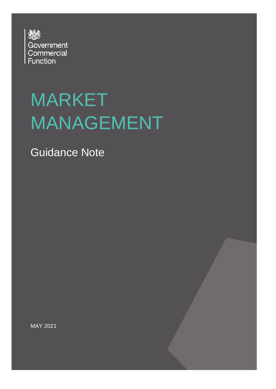

# MARKET MANAGEMENT

Guidance Note

MAY 2021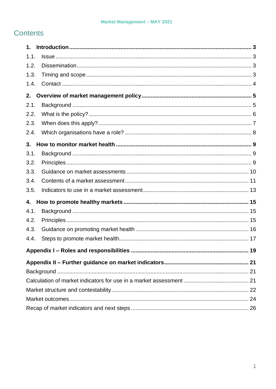### **Contents**

| 1.   |  |
|------|--|
| 1.1. |  |
| 1.2. |  |
| 1.3. |  |
| 1.4. |  |
| 2.   |  |
| 2.1. |  |
| 2.2. |  |
| 2.3. |  |
| 2.4. |  |
| 3.   |  |
| 3.1. |  |
| 3.2. |  |
| 3.3. |  |
| 3.4. |  |
| 3.5. |  |
| 4.   |  |
| 4.1. |  |
| 4.2. |  |
| 4.3. |  |
| 4.4. |  |
|      |  |
|      |  |
|      |  |
|      |  |
|      |  |
|      |  |
|      |  |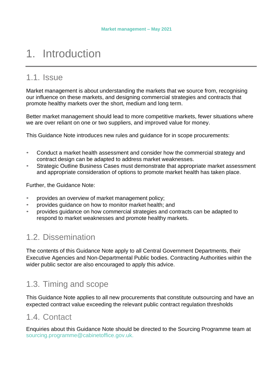## <span id="page-2-0"></span>1. Introduction

### <span id="page-2-1"></span>1.1 Issue

Market management is about understanding the markets that we source from, recognising our influence on these markets, and designing commercial strategies and contracts that promote healthy markets over the short, medium and long term.

Better market management should lead to more competitive markets, fewer situations where we are over reliant on one or two suppliers, and improved value for money.

This Guidance Note introduces new rules and guidance for in scope procurements:

- Conduct a market health assessment and consider how the commercial strategy and contract design can be adapted to address market weaknesses.
- Strategic Outline Business Cases must demonstrate that appropriate market assessment and appropriate consideration of options to promote market health has taken place.

Further, the Guidance Note:

- provides an overview of market management policy;
- provides guidance on how to monitor market health; and
- <span id="page-2-2"></span>• provides guidance on how commercial strategies and contracts can be adapted to respond to market weaknesses and promote healthy markets.

### 1.2. Dissemination

The contents of this Guidance Note apply to all Central Government Departments, their Executive Agencies and Non-Departmental Public bodies. Contracting Authorities within the wider public sector are also encouraged to apply this advice.

### <span id="page-2-3"></span>1.3. Timing and scope

This Guidance Note applies to all new procurements that constitute outsourcing and have an expected contract value exceeding the relevant public contract regulation thresholds

### 1.4. Contact

Enquiries about this Guidance Note should be directed to the Sourcing Programme team at [sourcing.programme@cabinetoffice.gov.uk.](mailto:project.santiago@cabinetoffice.gov.uk)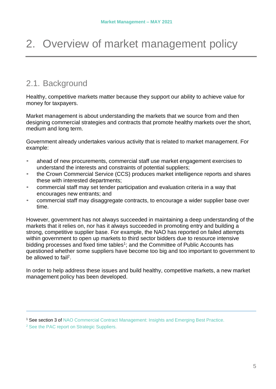## <span id="page-3-1"></span><span id="page-3-0"></span>2. Overview of market management policy

### <span id="page-3-2"></span>2.1. Background

Healthy, competitive markets matter because they support our ability to achieve value for money for taxpayers.

Market management is about understanding the markets that we source from and then designing commercial strategies and contracts that promote healthy markets over the short, medium and long term.

Government already undertakes various activity that is related to market management. For example:

- ahead of new procurements, commercial staff use market engagement exercises to understand the interests and constraints of potential suppliers;
- the Crown Commercial Service (CCS) produces market intelligence reports and shares these with interested departments;
- commercial staff may set tender participation and evaluation criteria in a way that encourages new entrants; and
- commercial staff may disaggregate contracts, to encourage a wider supplier base over time.

However, government has not always succeeded in maintaining a deep understanding of the markets that it relies on, nor has it always succeeded in promoting entry and building a strong, competitive supplier base. For example, the NAO has reported on failed attempts within government to open up markets to third sector bidders due to resource intensive bidding processes and fixed time tables<sup>[1](#page-3-3)</sup>; and the Committee of Public Accounts has questioned whether some suppliers have become too big and too important to government to be allowed to fail<sup>[2](#page-3-4)</sup>.

In order to help address these issues and build healthy, competitive markets, a new market management policy has been developed.

<span id="page-3-3"></span><sup>&</sup>lt;sup>1</sup> See section 3 of NAO Commercial Contract [Management:](https://www.nao.org.uk/wp-content/uploads/2016/12/Commercial-and-contract-management-insights-and-emerging-best-practice.pdf) Insights and Emerging Best Practice.

<span id="page-3-4"></span><sup>&</sup>lt;sup>2</sup> See the PAC report on Strategic [Suppliers.](https://publications.parliament.uk/pa/cm201719/cmselect/cmpubacc/1031/1031.pdf)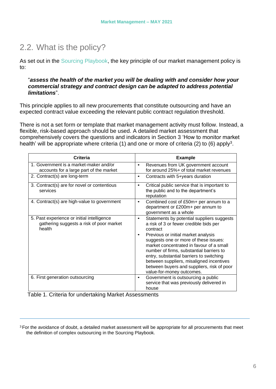### <span id="page-4-0"></span>2.2. What is the policy?

As set out in the [Sourcing Playbook, t](https://www.gov.uk/government/publications/the-outsourcing-playbook)he key principle of our market management policy is to:

#### "*assess the health of the market you will be dealing with and consider how your commercial strategy and contract design can be adapted to address potential limitations*".

This principle applies to all new procurements that constitute outsourcing and have an expected contract value exceeding the relevant public contract regulation threshold.

There is not a set form or template that market management activity must follow. Instead, a flexible, risk-based approach should be used. A detailed market assessment that comprehensively covers the questions and indicators in Section 3 ['How to monitor market](#page-7-0) [health'](#page-7-0) will be appropriate where criteria (1) and one or more of criteria (2) to (6) apply<sup>[3](#page-4-1)</sup>.

| Criteria                                                                                         | <b>Example</b>                                                                                                                                                                                                                                                                                                                                                                                                                                        |
|--------------------------------------------------------------------------------------------------|-------------------------------------------------------------------------------------------------------------------------------------------------------------------------------------------------------------------------------------------------------------------------------------------------------------------------------------------------------------------------------------------------------------------------------------------------------|
| 1. Government is a market-maker and/or<br>accounts for a large part of the market                | Revenues from UK government account<br>$\bullet$<br>for around 25%+ of total market revenues                                                                                                                                                                                                                                                                                                                                                          |
| 2. Contract(s) are long-term                                                                     | Contracts with 5+years duration<br>$\bullet$                                                                                                                                                                                                                                                                                                                                                                                                          |
| 3. Contract(s) are for novel or contentious<br>services                                          | Critical public service that is important to<br>$\bullet$<br>the public and to the department's<br>reputation                                                                                                                                                                                                                                                                                                                                         |
| 4. Contract(s) are high-value to government                                                      | Combined cost of £50m+ per annum to a<br>٠<br>department or £200m+ per annum to<br>government as a whole                                                                                                                                                                                                                                                                                                                                              |
| 5. Past experience or initial intelligence<br>gathering suggests a risk of poor market<br>health | Statements by potential suppliers suggests<br>٠<br>a risk of 3 or fewer credible bids per<br>contract<br>Previous or initial market analysis<br>٠<br>suggests one or more of these issues:<br>market concentrated in favour of a small<br>number of firms, substantial barriers to<br>entry, substantial barriers to switching<br>between suppliers, misaligned incentives<br>between buyers and suppliers, risk of poor<br>value-for-money outcomes. |
| 6. First generation outsourcing                                                                  | Government is outsourcing a public<br>$\bullet$<br>service that was previously delivered in<br>house                                                                                                                                                                                                                                                                                                                                                  |

Table 1. Criteria for undertaking Market Assessments

<span id="page-4-1"></span><sup>&</sup>lt;sup>3</sup> For the avoidance of doubt, a detailed market assessment will be appropriate for all procurements that meet the definition of complex outsourcing in the Sourcing Playbook.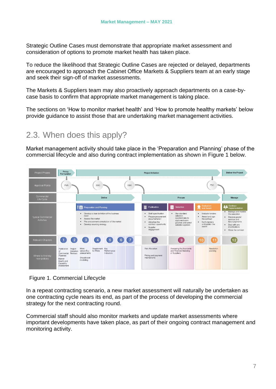Strategic Outline Cases must demonstrate that appropriate market assessment and consideration of options to promote market health has taken place.

To reduce the likelihood that Strategic Outline Cases are rejected or delayed, departments are encouraged to approach the Cabinet Office Markets & Suppliers team at an early stage and seek their sign-off of market assessments.

The Markets & Suppliers team may also proactively approach departments on a case-bycase basis to confirm that appropriate market management is taking place.

The sections on ['How to monitor market health' a](#page-7-0)nd ['How to promote healthy markets'](#page-13-0) below provide guidance to assist those that are undertaking market management activities.

### <span id="page-5-0"></span>2.3. When does this apply?

Market management activity should take place in the 'Preparation and Planning' phase of the commercial lifecycle and also during contract implementation as shown in Figure 1 below.

| Project Phases                                 | Policy<br>Formulation                                                                                      | <b>Project Initiation</b>                                                                                                                                                        |                                                                                                                                                                                                                                                                                                                  |                                                                                                                                                                                                                                                                                                                                               |  |  |
|------------------------------------------------|------------------------------------------------------------------------------------------------------------|----------------------------------------------------------------------------------------------------------------------------------------------------------------------------------|------------------------------------------------------------------------------------------------------------------------------------------------------------------------------------------------------------------------------------------------------------------------------------------------------------------|-----------------------------------------------------------------------------------------------------------------------------------------------------------------------------------------------------------------------------------------------------------------------------------------------------------------------------------------------|--|--|
| <b>Approval Points</b>                         | <b>PVR</b>                                                                                                 | SOC<br>OBC                                                                                                                                                                       |                                                                                                                                                                                                                                                                                                                  | <b>FBC</b>                                                                                                                                                                                                                                                                                                                                    |  |  |
| Commercial<br>Life Cycle                       |                                                                                                            | Define                                                                                                                                                                           | Procure                                                                                                                                                                                                                                                                                                          | Manage                                                                                                                                                                                                                                                                                                                                        |  |  |
| <b>Typical Commercial</b><br><b>Activities</b> |                                                                                                            | Preparation and Planning<br>. Develop a clear definition of the business<br>need<br>Assess the market<br>Pre-procurement consultation of the market<br>Develop sourcing strategy | 들<br>這<br>Publication<br>Selection<br>Draft specification<br>· Use standard<br>selection<br>Prepare procurement<br>questionnaire to<br>documentation<br>apply exclusion<br>Advertise the<br>$\bullet$<br>grounds and select<br>contract opportunity<br>suitable suppliers<br>Supplier<br>$\bullet$<br>engagement | <b>Le</b> Contract<br>Evaluation<br>and Award<br>Implementation<br>• Manage and monitor<br>Evaluate tenders<br>٠<br>the execution<br>Award and sign<br>۰<br>· Receive goods/<br>the contract<br>services and<br>Issue payments<br>· Notify tenders<br>and publish the<br>• Deal with any<br>award<br>modifications<br>Close the contract<br>٠ |  |  |
| <b>Relevant Chapters</b>                       |                                                                                                            | 5 <sup>5</sup>                                                                                                                                                                   | 8<br>$\mathbf{g}$                                                                                                                                                                                                                                                                                                |                                                                                                                                                                                                                                                                                                                                               |  |  |
| Where to find key<br>new policies              | Publication Project<br>Commercial Reviews<br>Pipelines<br>Market<br>Health and<br>Capability<br>Assessment | Requirement Key<br>Mako<br>Validation versus Buy<br>for Pilots<br>Performance<br>Indicators<br>assessments<br>Should-cost<br>modelling                                           | <b>Risk Allocation</b><br>Assessing the Economic<br>and Financial Standing<br>of Suppliers<br>Pricing and payment<br>mechanisms                                                                                                                                                                                  | Resolution<br>planning                                                                                                                                                                                                                                                                                                                        |  |  |

Figure 1. Commercial Lifecycle

In a repeat contracting scenario, a new market assessment will naturally be undertaken as one contracting cycle nears its end, as part of the process of developing the commercial strategy for the next contracting round.

Commercial staff should also monitor markets and update market assessments where important developments have taken place, as part of their ongoing contract management and monitoring activity.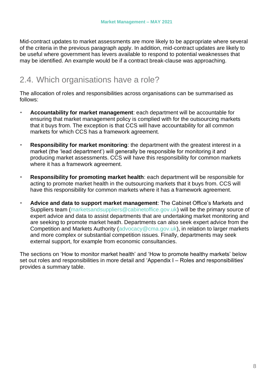Mid-contract updates to market assessments are more likely to be appropriate where several of the criteria in the previous paragraph apply. In addition, mid-contract updates are likely to be useful where government has levers available to respond to potential weaknesses that may be identified. An example would be if a contract break-clause was approaching.

### <span id="page-6-0"></span>2.4. Which organisations have a role?

The allocation of roles and responsibilities across organisations can be summarised as follows:

- **Accountability for market management**: each department will be accountable for ensuring that market management policy is complied with for the outsourcing markets that it buys from. The exception is that CCS will have accountability for all common markets for which CCS has a framework agreement.
- **Responsibility for market monitoring**: the department with the greatest interest in a market (the 'lead department') will generally be responsible for monitoring it and producing market assessments. CCS will have this responsibility for common markets where it has a framework agreement.
- **Responsibility for promoting market health**: each department will be responsible for acting to promote market health in the outsourcing markets that it buys from. CCS will have this responsibility for common markets where it has a framework agreement.
- **Advice and data to support market management**: The Cabinet Office's Markets and Suppliers team [\(marketsandsuppliers@cabinetoffice.gov.uk\)](mailto:marketsandsuppliers@cabinetoffice.gov.uk) will be the primary source of expert advice and data to assist departments that are undertaking market monitoring and are seeking to promote market heath. Departments can also seek expert advice from the Competition and Markets Authority [\(advocacy@cma.gov.uk\)](mailto:advocacy@cma.gov.uk), in relation to larger markets and more complex or substantial competition issues. Finally, departments may seek external support, for example from economic consultancies.

The sections on ['How to monitor market health' a](#page-7-0)nd ['How to promote healthy markets'](#page-13-0) below set out roles and responsibilities in more detail and 'Appendix I – [Roles and responsibilities'](#page-17-0) provides a summary table.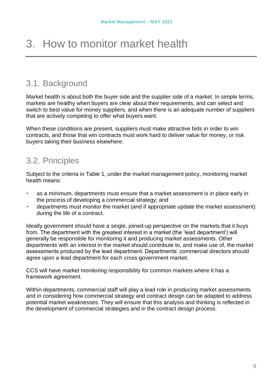## <span id="page-7-0"></span>3. How to monitor market health

### <span id="page-7-1"></span>3.1. Background

Market health is about both the buyer side and the supplier side of a market. In simple terms, markets are healthy when buyers are clear about their requirements, and can select and switch to best value for money suppliers, and when there is an adequate number of suppliers that are actively competing to offer what buyers want.

<span id="page-7-2"></span>When these conditions are present, suppliers must make attractive bids in order to win contracts, and those that win contracts must work hard to deliver value for money, or risk buyers taking their business elsewhere.

### 3.2. Principles

Subject to the criteria in Table 1, under the market management policy, monitoring market health means:

- as a minimum, departments must ensure that a market assessment is in place early in the process of developing a commercial strategy; and
- departments must monitor the market (and if appropriate update the market assessment) during the life of a contract.

Ideally government should have a single, joined-up perspective on the markets that it buys from. The department with the greatest interest in a market (the 'lead department') will generally be responsible for monitoring it and producing market assessments. Other departments with an interest in the market should contribute to, and make use of, the market assessments produced by the lead department. Departments' commercial directors should agree upon a lead department for each cross-government market.

CCS will have market monitoring responsibility for common markets where it has a framework agreement.

Within departments, commercial staff will play a lead role in producing market assessments and in considering how commercial strategy and contract design can be adapted to address potential market weaknesses. They will ensure that this analysis and thinking is reflected in the development of commercial strategies and in the contract design process.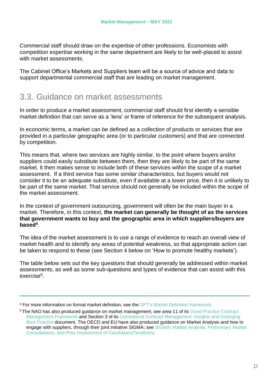Commercial staff should draw on the expertise of other professions. Economists with competition expertise working in the same department are likely to be well-placed to assist with market assessments.

<span id="page-8-0"></span>The Cabinet Office's Markets and Suppliers team will be a source of advice and data to support departmental commercial staff that are leading on market management.

### 3.3. Guidance on market assessments

In order to produce a market assessment, commercial staff should first identify a sensible market definition that can serve as a 'lens' or frame of reference for the subsequent analysis.

In economic terms, a market can be defined as a collection of products or services that are provided in a particular geographic area (or to particular customers) and that are connected by competition.

This means that, where two services are highly similar, to the point where buyers and/or suppliers could easily substitute between them, then they are likely to be part of the same market. It then makes sense to include both of these services within the scope of a market assessment. If a third service has some similar characteristics, but buyers would not consider it to be an adequate substitute, even if available at a lower price, then it is unlikely to be part of the same market. That service should not generally be included within the scope of the market assessment.

In the context of government outsourcing, government will often be the main buyer in a market. Therefore, in this context, **the market can generally be thought of as the services that government wants to buy and the geographic area in which suppliers/buyers are based[4](#page-8-1)** .

The idea of the market assessment is to use a range of evidence to reach an overall view of market health and to identify any areas of potential weakness, so that appropriate action can be taken to respond to these (see Section 4 below on 'How [to promote](#page-13-0) healthy markets').

The table below sets out the key questions that should generally be addressed within market assessments, as well as some sub-questions and types of evidence that can assist with this exercise<sup>[5](#page-8-2)</sup>.

<span id="page-8-1"></span><sup>4</sup> For more information on formal market definition, see the OFT's Market Definition [framework.](https://www.gov.uk/government/publications/market-definition)

<span id="page-8-2"></span><sup>5</sup>The NAO has also produced guidance on market management; see area 11 of its [Good Practice Contract](https://www.nao.org.uk/wp-content/uploads/2016/12/Good_practice_contract_management_framework.pdf) [Management Framework](https://www.nao.org.uk/wp-content/uploads/2016/12/Good_practice_contract_management_framework.pdf) [and Section 3 of its Commercial Contract Management: Insights and Emerging](https://publications.parliament.uk/pa/cm201719/cmselect/cmpubacc/1031/1031.pdf) [Best Practice](https://publications.parliament.uk/pa/cm201719/cmselect/cmpubacc/1031/1031.pdf) document. The OECD and EU have also produced guidance on Market Analysis and how to engage with suppliers, through their joint initiative SIGMA; see [SIGMA: Market Analysis, Preliminary Market](http://www.sigmaweb.org/publications/Public-Procurement-Policy-Brief-32-200117.pdf) Consultations, and Prior Involvement of [Candidates/Tenderers.](http://www.sigmaweb.org/publications/Public-Procurement-Policy-Brief-32-200117.pdf)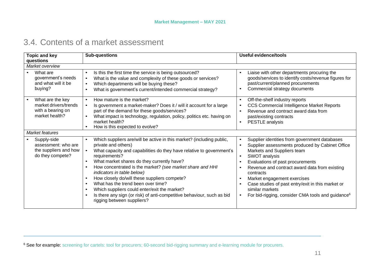### 3.4. Contents of a market assessment

<span id="page-9-1"></span><span id="page-9-0"></span>

| <b>Topic and key</b>                                                             | <b>Sub-questions</b>                                                                                                                                                                                                                                                                                                                                                                                                                                                                                                                                                                                                                          | <b>Useful evidence/tools</b>                                                                                                                                                                                                                                                                                                                                                                                                           |  |  |  |  |
|----------------------------------------------------------------------------------|-----------------------------------------------------------------------------------------------------------------------------------------------------------------------------------------------------------------------------------------------------------------------------------------------------------------------------------------------------------------------------------------------------------------------------------------------------------------------------------------------------------------------------------------------------------------------------------------------------------------------------------------------|----------------------------------------------------------------------------------------------------------------------------------------------------------------------------------------------------------------------------------------------------------------------------------------------------------------------------------------------------------------------------------------------------------------------------------------|--|--|--|--|
| questions                                                                        |                                                                                                                                                                                                                                                                                                                                                                                                                                                                                                                                                                                                                                               |                                                                                                                                                                                                                                                                                                                                                                                                                                        |  |  |  |  |
| Market overview                                                                  |                                                                                                                                                                                                                                                                                                                                                                                                                                                                                                                                                                                                                                               |                                                                                                                                                                                                                                                                                                                                                                                                                                        |  |  |  |  |
| What are<br>government's needs<br>and what will it be<br>buying?                 | Is this the first time the service is being outsourced?<br>$\bullet$<br>What is the value and complexity of these goods or services?<br>$\bullet$<br>Which departments will be buying these?<br>$\bullet$<br>What is government's current/intended commercial strategy?                                                                                                                                                                                                                                                                                                                                                                       | Liaise with other departments procuring the<br>goods/services to identify costs/revenue figures for<br>past/current/planned procurements<br>Commercial strategy documents                                                                                                                                                                                                                                                              |  |  |  |  |
| What are the key<br>market drivers/trends<br>with a bearing on<br>market health? | How mature is the market?<br>$\bullet$<br>Is government a market-maker? Does it / will it account for a large<br>$\bullet$<br>part of the demand for these goods/services?<br>What impact is technology, regulation, policy, politics etc. having on<br>$\bullet$<br>market health?<br>How is this expected to evolve?                                                                                                                                                                                                                                                                                                                        | Off-the-shelf industry reports<br><b>CCS Commercial Intelligence Market Reports</b><br>Revenue and contract award data from<br>past/existing contracts<br>PESTLE analysis<br>$\bullet$                                                                                                                                                                                                                                                 |  |  |  |  |
| Market features                                                                  |                                                                                                                                                                                                                                                                                                                                                                                                                                                                                                                                                                                                                                               |                                                                                                                                                                                                                                                                                                                                                                                                                                        |  |  |  |  |
| Supply-side<br>assessment: who are<br>the suppliers and how<br>do they compete?  | Which suppliers are/will be active in this market? (including public,<br>$\bullet$<br>private and others)<br>What capacity and capabilities do they have relative to government's<br>$\bullet$<br>requirements?<br>What market shares do they currently have?<br>$\bullet$<br>How concentrated is the market? (see market share and HHI<br>$\bullet$<br>indicators in table below)<br>How closely do/will these suppliers compete?<br>What has the trend been over time?<br>$\bullet$<br>Which suppliers could enter/exit the market?<br>Is there any sign (or risk) of anti-competitive behaviour, such as bid<br>rigging between suppliers? | Supplier identities from government databases<br>Supplier assessments produced by Cabinet Office<br>Markets and Suppliers team<br>SWOT analysis<br>$\bullet$<br>Evaluations of past procurements<br>Revenue and contract award data from existing<br>contracts<br>Market engagement exercises<br>Case studies of past entry/exit in this market or<br>similar markets<br>For bid-rigging, consider CMA tools and guidance <sup>6</sup> |  |  |  |  |

<sup>6</sup> See for example: screening for cartels: tool for [procurers;](https://www.gov.uk/government/publications/screening-for-cartels-tool-for-procurers) 60-second [bid-rigging](https://www.gov.uk/government/publications/bid-rigging-advice-for-public-sector-procurers) summary and e-learning module for procurers.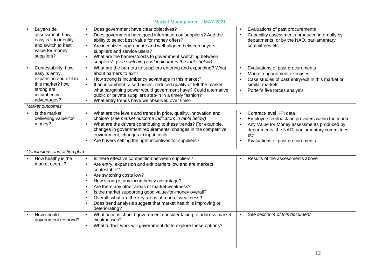|                                                                                                                               | <b>Market Management – MATZUZT</b>                                                                                                                                                                                                                                                                                                                                                                                                                                        |                                                                                                                                                                                                                                                   |
|-------------------------------------------------------------------------------------------------------------------------------|---------------------------------------------------------------------------------------------------------------------------------------------------------------------------------------------------------------------------------------------------------------------------------------------------------------------------------------------------------------------------------------------------------------------------------------------------------------------------|---------------------------------------------------------------------------------------------------------------------------------------------------------------------------------------------------------------------------------------------------|
| Buyer-side<br>assessment: how<br>easy is it to identify<br>and switch to best<br>value for money<br>suppliers?                | Does government have clear objectives?<br>Does government have good information on suppliers? And the<br>ability to select best value for money offers?<br>Are incentives appropriate and well-aligned between buyers,<br>suppliers and service users?<br>What are the barriers/costs to government switching between<br>$\bullet$<br>suppliers? (see switching cost indicator in the table below)                                                                        | Evaluations of past procurements<br>Capability assessments produced internally by<br>departments, or by the NAO, parliamentary<br>committees etc                                                                                                  |
| Contestability: how<br>easy is entry,<br>expansion and exit in<br>this market? how<br>strong are<br>incumbency<br>advantages? | What are the barriers to suppliers entering and expanding? What<br>$\bullet$<br>about barriers to exit?<br>How strong is incumbency advantage in this market?<br>$\bullet$<br>If an incumbent raised prices, reduced quality or left the market,<br>what bargaining power would government have? Could alternative<br>public or private suppliers step-in in a timely fashion?<br>What entry trends have we observed over time?                                           | Evaluations of past procurements<br>Market engagement exercises<br>Case studies of past entry/exit in this market or<br>similar markets<br>Porter's five forces analysis                                                                          |
| Market outcomes                                                                                                               |                                                                                                                                                                                                                                                                                                                                                                                                                                                                           |                                                                                                                                                                                                                                                   |
| Is the market<br>delivering value-for-<br>money?                                                                              | What are the levels and trends in price, quality, innovation and<br>choice? (see market outcome indicators in table below)<br>What are the drivers contributing to these trends? For example,<br>changes in government requirements, changes in the competitive<br>environment, changes in input costs<br>Are buyers setting the right incentives for suppliers?                                                                                                          | Contract-level KPI data<br>$\bullet$<br>Employee feedback on providers within the market<br>Any Value for Money assessments produced by<br>departments, the NAO, parliamentary committees<br>etc<br>Evaluations of past procurements<br>$\bullet$ |
| Conclusions and action plan                                                                                                   |                                                                                                                                                                                                                                                                                                                                                                                                                                                                           |                                                                                                                                                                                                                                                   |
| How healthy is the<br>market overall?                                                                                         | Is there effective competition between suppliers?<br>Are entry, expansion and exit barriers low and are markets<br>$\bullet$<br>contestable?<br>Are switching costs low?<br>How strong is any incumbency advantage?<br>Are there any other areas of market weakness?<br>Is the market supporting good value-for-money overall?<br>Overall, what are the key areas of market weakness?<br>Does trend analysis suggest that market health is improving or<br>deteriorating? | Results of the assessments above                                                                                                                                                                                                                  |
| How should<br>government respond?                                                                                             | What actions should government consider taking to address market<br>weaknesses?<br>What further work will government do to explore these options?                                                                                                                                                                                                                                                                                                                         | See section 4 of this document<br>$\bullet$                                                                                                                                                                                                       |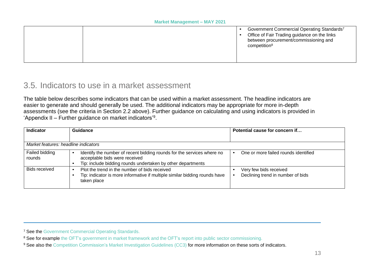<span id="page-11-1"></span>

|  | Government Commercial Operating Standards7<br>Office of Fair Trading guidance on the links<br>between procurement/commissioning and<br>competition <sup>8</sup> |
|--|-----------------------------------------------------------------------------------------------------------------------------------------------------------------|
|  |                                                                                                                                                                 |

### 3.5. Indicators to use in a market assessment

The table below describes some indicators that can be used within a market assessment. The headline indicators are easier to generate and should generally be used. The additional indicators may be appropriate for more in-depth assessments (see the criteria in Section 2.2 above). Further guidance on calculating and using indicators is provided in 'Appendix II – Further guidance on market [indicators'](#page-19-3)[9](#page-11-1) .

| <b>Indicator</b>                     | Guidance                                                                                                                                                               | Potential cause for concern if                              |
|--------------------------------------|------------------------------------------------------------------------------------------------------------------------------------------------------------------------|-------------------------------------------------------------|
|                                      |                                                                                                                                                                        |                                                             |
| Market features: headline indicators |                                                                                                                                                                        |                                                             |
| Failed bidding<br>rounds             | Identify the number of recent bidding rounds for the services where no<br>acceptable bids were received<br>Tip: include bidding rounds undertaken by other departments | One or more failed rounds identified                        |
| Bids received                        | Plot the trend in the number of bids received<br>Tip: indicator is more informative if multiple similar bidding rounds have<br>taken place                             | Very few bids received<br>Declining trend in number of bids |

<span id="page-11-0"></span><sup>7</sup> See the [Government](https://www.gov.uk/government/publications/commercial-operating-standards-for-government) Commercial Operating Standards.

<sup>&</sup>lt;sup>8</sup> See for example the OFT's [government](https://www.gov.uk/government/publications/government-in-markets) in market framework and the OFT's report into public sector commissioning.

<sup>&</sup>lt;sup>9</sup> See also the Competition [Commission's](https://assets.publishing.service.gov.uk/government/uploads/system/uploads/attachment_data/file/284390/cc3_revised.pdf) Market Investigation Guidelines (CC3) for more information on these sorts of indicators.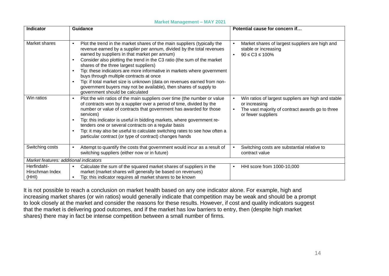#### **Market Management – MAY 2021**

| Indicator                               | <b>Guidance</b>                                                                                                                                                                                                                                                                                                                                                                                                                                                                                                                                                                                                                                                        | Potential cause for concern if                                                                                                                 |  |  |  |  |  |
|-----------------------------------------|------------------------------------------------------------------------------------------------------------------------------------------------------------------------------------------------------------------------------------------------------------------------------------------------------------------------------------------------------------------------------------------------------------------------------------------------------------------------------------------------------------------------------------------------------------------------------------------------------------------------------------------------------------------------|------------------------------------------------------------------------------------------------------------------------------------------------|--|--|--|--|--|
|                                         |                                                                                                                                                                                                                                                                                                                                                                                                                                                                                                                                                                                                                                                                        |                                                                                                                                                |  |  |  |  |  |
| Market shares                           | Plot the trend in the market shares of the main suppliers (typically the<br>$\bullet$<br>revenue earned by a supplier per annum, divided by the total revenues<br>earned by suppliers in that market per annum)<br>Consider also plotting the trend in the C3 ratio (the sum of the market<br>$\bullet$<br>shares of the three largest suppliers)<br>Tip: these indicators are more informative in markets where government<br>$\bullet$<br>buys through multiple contracts at once<br>Tip: if total market size is unknown (data on revenues earned from non-<br>government buyers may not be available), then shares of supply to<br>government should be calculated | Market shares of largest suppliers are high and<br>stable or increasing<br>$90 \leq C3 \leq 100\%$                                             |  |  |  |  |  |
| Win ratios                              | Plot the win ratios of the main suppliers over time (the number or value<br>$\bullet$<br>of contracts won by a supplier over a period of time, divided by the<br>number or value of contracts that government has awarded for those<br>services)<br>Tip: this indicator is useful in bidding markets, where government re-<br>$\bullet$<br>tenders one or several contracts on a regular basis<br>Tip: it may also be useful to calculate switching rates to see how often a<br>particular contract (or type of contract) changes hands                                                                                                                                | Win ratios of largest suppliers are high and stable<br>or increasing<br>The vast majority of contract awards go to three<br>or fewer suppliers |  |  |  |  |  |
| Switching costs                         | Attempt to quantify the costs that government would incur as a result of<br>switching suppliers (either now or in future)                                                                                                                                                                                                                                                                                                                                                                                                                                                                                                                                              | Switching costs are substantial relative to<br>contract value                                                                                  |  |  |  |  |  |
|                                         | Market features: additional indicators                                                                                                                                                                                                                                                                                                                                                                                                                                                                                                                                                                                                                                 |                                                                                                                                                |  |  |  |  |  |
| Herfindahl-<br>Hirschman Index<br>(HHI) | Calculate the sum of the squared market shares of suppliers in the<br>market (market shares will generally be based on revenues)<br>Tip: this indicator requires all market shares to be known<br>$\bullet$                                                                                                                                                                                                                                                                                                                                                                                                                                                            | HHI score from 1000-10,000<br>$\bullet$                                                                                                        |  |  |  |  |  |

It is not possible to reach a conclusion on market health based on any one indicator alone. For example, high and increasing market shares (or win ratios) would generally indicate that competition may be weak and should be a prompt to look closely at the market and consider the reasons for these results. However, if cost and quality indicators suggest that the market is delivering good outcomes, and if the market has low barriers to entry, then (despite high market shares) there may in fact be intense competition between a small number of firms.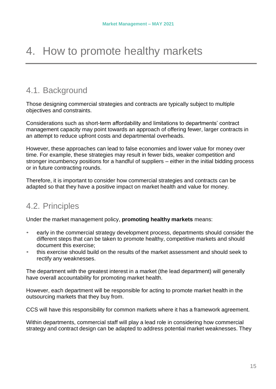## <span id="page-13-0"></span>4. How to promote healthy markets

### <span id="page-13-1"></span>4.1. Background

Those designing commercial strategies and contracts are typically subject to multiple objectives and constraints.

Considerations such as short-term affordability and limitations to departments' contract management capacity may point towards an approach of offering fewer, larger contracts in an attempt to reduce upfront costs and departmental overheads.

However, these approaches can lead to false economies and lower value for money over time. For example, these strategies may result in fewer bids, weaker competition and stronger incumbency positions for a handful of suppliers – either in the initial bidding process or in future contracting rounds.

<span id="page-13-2"></span>Therefore, it is important to consider how commercial strategies and contracts can be adapted so that they have a positive impact on market health and value for money.

### 4.2. Principles

Under the market management policy, **promoting healthy markets** means:

- early in the commercial strategy development process, departments should consider the different steps that can be taken to promote healthy, competitive markets and should document this exercise;
- this exercise should build on the results of the market assessment and should seek to rectify any weaknesses.

The department with the greatest interest in a market (the lead department) will generally have overall accountability for promoting market health.

However, each department will be responsible for acting to promote market health in the outsourcing markets that they buy from.

CCS will have this responsibility for common markets where it has a framework agreement.

Within departments, commercial staff will play a lead role in considering how commercial strategy and contract design can be adapted to address potential market weaknesses. They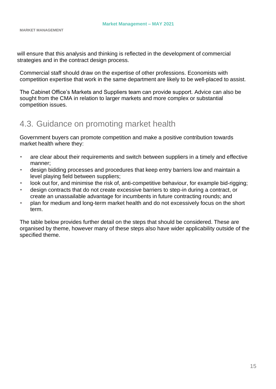will ensure that this analysis and thinking is reflected in the development of commercial strategies and in the contract design process.

Commercial staff should draw on the expertise of other professions. Economists with competition expertise that work in the same department are likely to be well-placed to assist.

The Cabinet Office's Markets and Suppliers team can provide support. Advice can also be sought from the CMA in relation to larger markets and more complex or substantial competition issues.

### <span id="page-14-0"></span>4.3. Guidance on promoting market health

Government buyers can promote competition and make a positive contribution towards market health where they:

- are clear about their requirements and switch between suppliers in a timely and effective manner;
- design bidding processes and procedures that keep entry barriers low and maintain a level playing field between suppliers;
- look out for, and minimise the risk of, anti-competitive behaviour, for example bid-rigging;
- design contracts that do not create excessive barriers to step-in during a contract, or create an unassailable advantage for incumbents in future contracting rounds; and
- plan for medium and long-term market health and do not excessively focus on the short term.

The table below provides further detail on the steps that should be considered. These are organised by theme, however many of these steps also have wider applicability outside of the specified theme.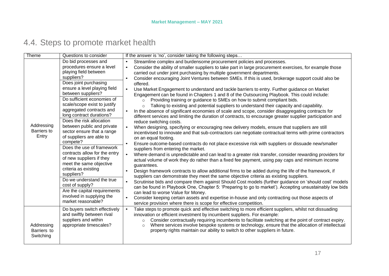### 4.4. Steps to promote market health

<span id="page-15-0"></span>

| Theme                                     | Questions to consider                                                                                                                                                                                                                                                                                                                                                                                                                                                                                                                                                                                                                                                                                                       | If the answer is 'no', consider taking the following steps                                                                                                                                                                                                                                                                                                                                                                                                                                                                                                                                                                                                                                                                                                                                                                                                                                                                                                                                                                                                                                                                                                                                                                                                                                                                                                                                                                                                                                                                                                                                                                                                                                                                                                                                                                                                                                                                                                                                                                                                                                                                                                                                                                                                                                                                                                   |
|-------------------------------------------|-----------------------------------------------------------------------------------------------------------------------------------------------------------------------------------------------------------------------------------------------------------------------------------------------------------------------------------------------------------------------------------------------------------------------------------------------------------------------------------------------------------------------------------------------------------------------------------------------------------------------------------------------------------------------------------------------------------------------------|--------------------------------------------------------------------------------------------------------------------------------------------------------------------------------------------------------------------------------------------------------------------------------------------------------------------------------------------------------------------------------------------------------------------------------------------------------------------------------------------------------------------------------------------------------------------------------------------------------------------------------------------------------------------------------------------------------------------------------------------------------------------------------------------------------------------------------------------------------------------------------------------------------------------------------------------------------------------------------------------------------------------------------------------------------------------------------------------------------------------------------------------------------------------------------------------------------------------------------------------------------------------------------------------------------------------------------------------------------------------------------------------------------------------------------------------------------------------------------------------------------------------------------------------------------------------------------------------------------------------------------------------------------------------------------------------------------------------------------------------------------------------------------------------------------------------------------------------------------------------------------------------------------------------------------------------------------------------------------------------------------------------------------------------------------------------------------------------------------------------------------------------------------------------------------------------------------------------------------------------------------------------------------------------------------------------------------------------------------------|
| Addressing<br><b>Barriers</b> to<br>Entry | Do bid processes and<br>procedures ensure a level<br>playing field between<br>suppliers?<br>Does joint purchasing<br>ensure a level playing field<br>between suppliers?<br>Do sufficient economies of<br>scale/scope exist to justify<br>aggregated contracts and<br>long contract durations?<br>Does the risk allocation<br>between public and private<br>sector ensure that a range<br>of suppliers are able to<br>compete?<br>Does the use of framework<br>contracts allow for the entry<br>of new suppliers if they<br>meet the same objective<br>criteria as existing<br>suppliers?<br>Do we understand the true<br>cost of supply?<br>Are the capital requirements<br>involved in supplying the<br>market reasonable? | Streamline complex and burdensome procurement policies and processes.<br>$\bullet$<br>Consider the ability of smaller suppliers to take part in large procurement exercises, for example those<br>carried out under joint purchasing by multiple government departments.<br>Consider encouraging Joint Ventures between SMEs. If this is used, brokerage support could also be<br>offered.<br>$\bullet$<br>Use Market Engagement to understand and tackle barriers to entry. Further guidance on Market<br>Engagement can be found in Chapters 1 and 8 of the Outsourcing Playbook. This could include:<br>Providing training or guidance to SMEs on how to submit compliant bids.<br>$\circ$<br>Talking to existing and potential suppliers to understand their capacity and capability.<br>$\circ$<br>In the absence of significant economies of scale and scope, consider disaggregating contracts for<br>different services and limiting the duration of contracts, to encourage greater supplier participation and<br>reduce switching costs.<br>When designing, specifying or encouraging new delivery models, ensure that suppliers are still<br>$\bullet$<br>incentivised to innovate and that sub-contractors can negotiate contractual terms with prime contractors<br>on an equal footing.<br>Ensure outcome-based contracts do not place excessive risk with suppliers or dissuade new/smaller<br>suppliers from entering the market.<br>Where demand is unpredictable and can lead to a greater risk transfer, consider rewarding providers for<br>$\bullet$<br>actual volume of work they do rather than a fixed fee payment, using pay caps and minimum income<br>guarantees.<br>Design framework contracts to allow additional firms to be added during the life of the framework, if<br>$\bullet$<br>suppliers can demonstrate they meet the same objective criteria as existing suppliers.<br>Scrutinise bids and compare them against Should Cost models (further guidance on 'should cost' models<br>can be found in Playbook One, Chapter 5: 'Preparing to go to market'). Accepting unsustainably low bids<br>can lead to worse Value for Money.<br>Consider keeping certain assets and expertise in-house and only contracting out those aspects of<br>$\bullet$<br>service provision where there is scope for effective competition. |
| Addressing<br>Barriers to<br>Switching    | Do buyers switch effectively<br>and swiftly between rival<br>suppliers and within<br>appropriate timescales?                                                                                                                                                                                                                                                                                                                                                                                                                                                                                                                                                                                                                | Take steps to promote quick and effective switching to more efficient suppliers, whilst not dissuading<br>$\bullet$<br>innovation or efficient investment by incumbent suppliers. For example:<br>Consider contractually requiring incumbents to facilitate switching at the point of contract expiry.<br>$\circ$<br>Where services involve bespoke systems or technology, ensure that the allocation of intellectual<br>$\circ$<br>property rights maintain our ability to switch to other suppliers in future.                                                                                                                                                                                                                                                                                                                                                                                                                                                                                                                                                                                                                                                                                                                                                                                                                                                                                                                                                                                                                                                                                                                                                                                                                                                                                                                                                                                                                                                                                                                                                                                                                                                                                                                                                                                                                                             |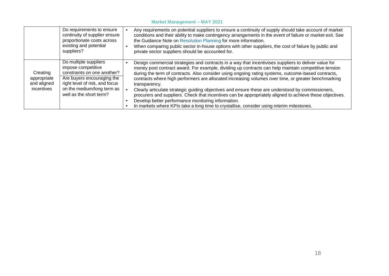#### **Market Management – MAY 2021**

| Do requirements to ensure                                                                                                                                                                                                                                   | Any requirements on potential suppliers to ensure a continuity of supply should take account of market                                                                                                                                                                                                                                                                                                                                                                                                                                                                                                                                                                                                                                                                                                        |
|-------------------------------------------------------------------------------------------------------------------------------------------------------------------------------------------------------------------------------------------------------------|---------------------------------------------------------------------------------------------------------------------------------------------------------------------------------------------------------------------------------------------------------------------------------------------------------------------------------------------------------------------------------------------------------------------------------------------------------------------------------------------------------------------------------------------------------------------------------------------------------------------------------------------------------------------------------------------------------------------------------------------------------------------------------------------------------------|
| continuity of supplier ensure                                                                                                                                                                                                                               | conditions and their ability to make contingency arrangements in the event of failure or market exit. See                                                                                                                                                                                                                                                                                                                                                                                                                                                                                                                                                                                                                                                                                                     |
| proportionate costs across                                                                                                                                                                                                                                  | the Guidance Note on Resolution Planning for more information.                                                                                                                                                                                                                                                                                                                                                                                                                                                                                                                                                                                                                                                                                                                                                |
| existing and potential                                                                                                                                                                                                                                      | When comparing public sector in-house options with other suppliers, the cost of failure by public and                                                                                                                                                                                                                                                                                                                                                                                                                                                                                                                                                                                                                                                                                                         |
| suppliers?                                                                                                                                                                                                                                                  | private sector suppliers should be accounted for.                                                                                                                                                                                                                                                                                                                                                                                                                                                                                                                                                                                                                                                                                                                                                             |
| Do multiple suppliers<br>impose competitive<br>constraints on one another?<br>Creating<br>Are buyers encouraging the<br>appropriate<br>right level of risk, and focus<br>and aligned<br>on the medium/long term as<br>incentives<br>well as the short term? | Design commercial strategies and contracts in a way that incentivises suppliers to deliver value for<br>money post contract award. For example, dividing up contracts can help maintain competitive tension<br>during the term of contracts. Also consider using ongoing rating systems, outcome-based contracts,<br>contracts where high performers are allocated increasing volumes over time, or greater benchmarking<br>transparency.<br>Clearly articulate strategic guiding objectives and ensure these are understood by commissioners,<br>procurers and suppliers. Check that incentives can be appropriately aligned to achieve these objectives.<br>Develop better performance monitoring information.<br>In markets where KPIs take a long time to crystallise, consider using interim milestones. |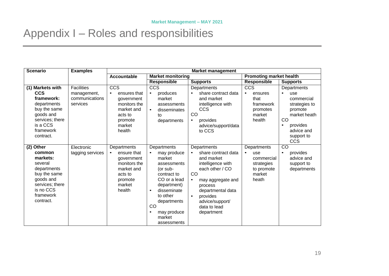## Appendix I – Roles and responsibilities

<span id="page-17-0"></span>

| <b>Scenario</b>                                                                                                                                   | <b>Examples</b>                                                | <b>Market management</b>                                                                                                      |                                                                                                                                                                                                                                 |                                                                                                                                                                                                                                                         |                                                                                               |                                                                                                                                                       |
|---------------------------------------------------------------------------------------------------------------------------------------------------|----------------------------------------------------------------|-------------------------------------------------------------------------------------------------------------------------------|---------------------------------------------------------------------------------------------------------------------------------------------------------------------------------------------------------------------------------|---------------------------------------------------------------------------------------------------------------------------------------------------------------------------------------------------------------------------------------------------------|-----------------------------------------------------------------------------------------------|-------------------------------------------------------------------------------------------------------------------------------------------------------|
|                                                                                                                                                   |                                                                | <b>Accountable</b>                                                                                                            | <b>Market monitoring</b>                                                                                                                                                                                                        |                                                                                                                                                                                                                                                         | <b>Promoting market health</b>                                                                |                                                                                                                                                       |
|                                                                                                                                                   |                                                                |                                                                                                                               | <b>Responsible</b>                                                                                                                                                                                                              | <b>Supports</b>                                                                                                                                                                                                                                         | <b>Responsible</b>                                                                            | <b>Supports</b>                                                                                                                                       |
| (1) Markets with<br><b>CCS</b><br>framework:<br>departments<br>buy the same<br>goods and<br>services; there<br>is a CCS<br>framework<br>contract. | <b>Facilities</b><br>management,<br>communications<br>services | <b>CCS</b><br>ensures that<br>government<br>monitors the<br>market and<br>acts to<br>promote<br>market<br>health              | <b>CCS</b><br>produces<br>$\bullet$<br>market<br>assessments<br>disseminates<br>tο<br>departments                                                                                                                               | Departments<br>share contract data<br>and market<br>intelligence with<br><b>CCS</b><br>CO<br>provides<br>$\bullet$<br>advice/support/data<br>to CCS                                                                                                     | $cc\overline{s}$<br>ensures<br>$\bullet$<br>that<br>framework<br>promotes<br>market<br>health | Departments<br>use<br>commercial<br>strategies to<br>promote<br>market heath<br>CO<br>provides<br>$\bullet$<br>advice and<br>support to<br><b>CCS</b> |
| (2) Other<br>common<br>markets:<br>several<br>departments<br>buy the same<br>goods and<br>services; there<br>is no CCS<br>framework<br>contract.  | Electronic<br>tagging services                                 | Departments<br>ensure that<br>$\bullet$<br>government<br>monitors the<br>market and<br>acts to<br>promote<br>market<br>health | Departments<br>may produce<br>$\bullet$<br>market<br>assessments<br>(or sub-<br>contract to<br>CO or a lead<br>department)<br>disseminate<br>$\bullet$<br>to other<br>departments<br>CO<br>may produce<br>market<br>assessments | Departments<br>share contract data<br>$\bullet$<br>and market<br>intelligence with<br>each other / CO<br>CO<br>may aggregate and<br>$\bullet$<br>process<br>departmental data<br>provides<br>$\bullet$<br>advice/support/<br>data to lead<br>department | Departments<br>use<br>$\bullet$<br>commercial<br>strategies<br>to promote<br>market<br>heath  | CO<br>provides<br>$\bullet$<br>advice and<br>support to<br>departments                                                                                |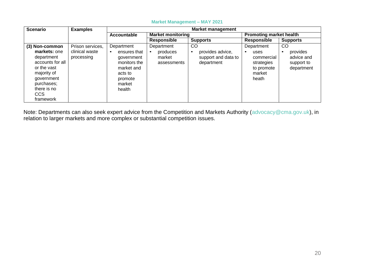| <b>Scenario</b>                                                                                                                                               | <b>Examples</b>                                  | <b>Market management</b>                                                                                         |                                                 |                                                                          |                                                                                 |                                                                 |
|---------------------------------------------------------------------------------------------------------------------------------------------------------------|--------------------------------------------------|------------------------------------------------------------------------------------------------------------------|-------------------------------------------------|--------------------------------------------------------------------------|---------------------------------------------------------------------------------|-----------------------------------------------------------------|
|                                                                                                                                                               |                                                  | Accountable                                                                                                      | <b>Market monitoring</b>                        |                                                                          | <b>Promoting market health</b>                                                  |                                                                 |
|                                                                                                                                                               |                                                  |                                                                                                                  | <b>Responsible</b>                              | <b>Supports</b>                                                          | <b>Responsible</b>                                                              | <b>Supports</b>                                                 |
| (3) Non-common<br>markets: one<br>department<br>accounts for all<br>or the vast<br>majority of<br>government<br>purchases;<br>there is no<br>CCS<br>framework | Prison services,<br>clinical waste<br>processing | Department<br>ensures that<br>government<br>monitors the<br>market and<br>acts to<br>promote<br>market<br>health | Department<br>produces<br>market<br>assessments | CO<br>provides advice,<br>$\bullet$<br>support and data to<br>department | Department<br>uses<br>commercial<br>strategies<br>to promote<br>market<br>heath | <b>CO</b><br>provides<br>advice and<br>support to<br>department |

#### **Market Management – MAY 2021**

Note: Departments can also seek expert advice from the Competition and Markets Authority [\(advocacy@cma.gov.uk\)](mailto:advocacy@cma.gov.uk), in relation to larger markets and more complex or substantial competition issues.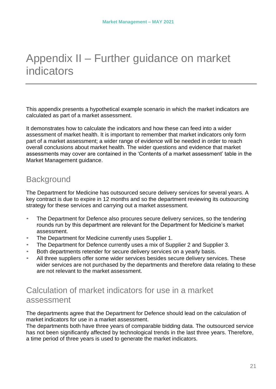## <span id="page-19-3"></span><span id="page-19-0"></span>Appendix II – Further guidance on market indicators

This appendix presents a hypothetical example scenario in which the market indicators are calculated as part of a market assessment.

It demonstrates how to calculate the indicators and how these can feed into a wider assessment of market health. It is important to remember that market indicators only form part of a market assessment; a wider range of evidence will be needed in order to reach overall conclusions about market health. The wider questions and evidence that market assessments may cover are contained in the 'Contents of a market assessment' table in the Market Management guidance.

### <span id="page-19-1"></span>**Background**

The Department for Medicine has outsourced secure delivery services for several years. A key contract is due to expire in 12 months and so the department reviewing its outsourcing strategy for these services and carrying out a market assessment.

- The Department for Defence also procures secure delivery services, so the tendering rounds run by this department are relevant for the Department for Medicine's market assessment.
- The Department for Medicine currently uses Supplier 1.
- The Department for Defence currently uses a mix of Supplier 2 and Supplier 3.
- Both departments retender for secure delivery services on a yearly basis.
- <span id="page-19-2"></span>All three suppliers offer some wider services besides secure delivery services. These wider services are not purchased by the departments and therefore data relating to these are not relevant to the market assessment.

### Calculation of market indicators for use in a market assessment

The departments agree that the Department for Defence should lead on the calculation of market indicators for use in a market assessment.

The departments both have three years of comparable bidding data. The outsourced service has not been significantly affected by technological trends in the last three years. Therefore, a time period of three years is used to generate the market indicators.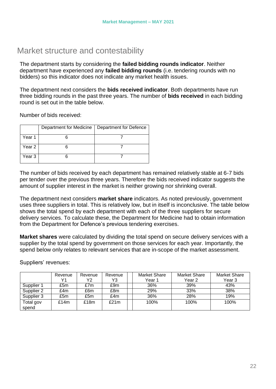### <span id="page-20-0"></span>Market structure and contestability

The department starts by considering the **failed bidding rounds indicator**. Neither department have experienced any **failed bidding rounds** (i.e. tendering rounds with no bidders) so this indicator does not indicate any market health issues.

The department next considers the **bids received indicator**. Both departments have run three bidding rounds in the past three years. The number of **bids received** in each bidding round is set out in the table below.

Number of bids received:

|        | Department for Medicine | Department for Defence |
|--------|-------------------------|------------------------|
| Year 1 |                         |                        |
| Year 2 |                         |                        |
| Year 3 |                         |                        |

The number of bids received by each department has remained relatively stable at 6-7 bids per tender over the previous three years. Therefore the bids received indicator suggests the amount of supplier interest in the market is neither growing nor shrinking overall.

The department next considers **market share** indicators. As noted previously, government uses three suppliers in total. This is relatively low, but in itself is inconclusive. The table below shows the total spend by each department with each of the three suppliers for secure delivery services. To calculate these, the Department for Medicine had to obtain information from the Department for Defence's previous tendering exercises.

**Market shares** were calculated by dividing the total spend on secure delivery services with a supplier by the total spend by government on those services for each year. Importantly, the spend below only relates to relevant services that are in-scope of the market assessment.

|                    | Revenue | Revenue | Revenue | Market Share | Market Share | Market Share      |
|--------------------|---------|---------|---------|--------------|--------------|-------------------|
|                    | Υ1      | Y2      | Y3      | Year 1       | Year 2       | Year <sub>3</sub> |
| Supplier 1         | £5m     | £7m     | £9m     | 36%          | 39%          | 43%               |
| Supplier 2         | £4m     | £6m     | £8m     | 29%          | 33%          | 38%               |
| Supplier 3         | £5m     | £5m     | £4m     | 36%          | 28%          | 19%               |
| Total gov<br>spend | £14m    | £18m    | £21m    | 100%         | 100%         | 100%              |

Suppliers' revenues: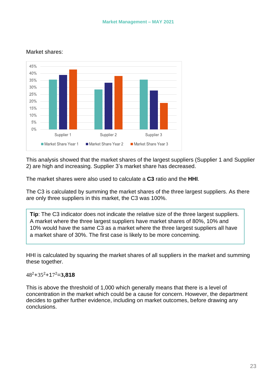#### Market shares:



This analysis showed that the market shares of the largest suppliers (Supplier 1 and Supplier 2) are high and increasing. Supplier 3's market share has decreased.

The market shares were also used to calculate a **C3** ratio and the **HHI**.

The C3 is calculated by summing the market shares of the three largest suppliers. As there are only three suppliers in this market, the C3 was 100%.

**Tip**: The C3 indicator does not indicate the relative size of the three largest suppliers. A market where the three largest suppliers have market shares of 80%, 10% and 10% would have the same C3 as a market where the three largest suppliers all have a market share of 30%. The first case is likely to be more concerning.

HHI is calculated by squaring the market shares of all suppliers in the market and summing these together.

48<sup>2</sup>+35<sup>2</sup>+17 <sup>2</sup>=**3,818**

This is above the threshold of 1,000 which generally means that there is a level of concentration in the market which could be a cause for concern. However, the department decides to gather further evidence, including on market outcomes, before drawing any conclusions.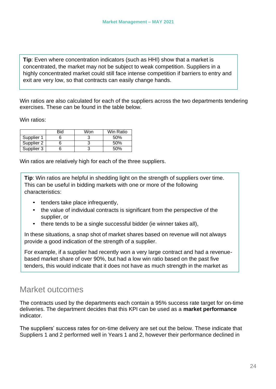**Tip**: Even where concentration indicators (such as HHI) show that a market is concentrated, the market may not be subject to weak competition. Suppliers in a highly concentrated market could still face intense competition if barriers to entry and exit are very low, so that contracts can easily change hands.

Win ratios are also calculated for each of the suppliers across the two departments tendering exercises. These can be found in the table below.

Win ratios:

|            | Bid | Won | Win Ratio |
|------------|-----|-----|-----------|
| Supplier 1 |     |     | 50%       |
| Supplier 2 |     |     | 50%       |
| Supplier 3 |     |     | 50%       |

Win ratios are relatively high for each of the three suppliers.

**Tip**: Win ratios are helpful in shedding light on the strength of suppliers over time. This can be useful in bidding markets with one or more of the following characteristics:

- tenders take place infrequently,
- the value of individual contracts is significant from the perspective of the supplier, or
- there tends to be a single successful bidder (ie winner takes all),

In these situations, a snap shot of market shares based on revenue will not always provide a good indication of the strength of a supplier.

For example, if a supplier had recently won a very large contract and had a revenuebased market share of over 90%, but had a low win ratio based on the past five tenders, this would indicate that it does not have as much strength in the market as

### <span id="page-22-0"></span>Market outcomes

The contracts used by the departments each contain a 95% success rate target for on-time deliveries. The department decides that this KPI can be used as a **market performance** indicator.

The suppliers' success rates for on-time delivery are set out the below. These indicate that Suppliers 1 and 2 performed well in Years 1 and 2, however their performance declined in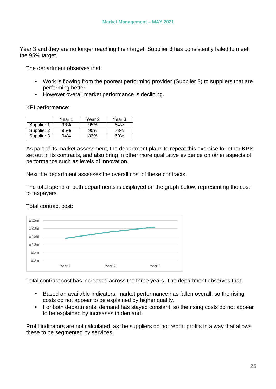Year 3 and they are no longer reaching their target. Supplier 3 has consistently failed to meet the 95% target.

The department observes that:

- Work is flowing from the poorest performing provider (Supplier 3) to suppliers that are performing better.
- However overall market performance is declining.

KPI performance:

|            | Year 1 | Year 2 | Year 3 |
|------------|--------|--------|--------|
| Supplier 1 | 96%    | 95%    | 84%    |
| Supplier 2 | 95%    | 95%    | 73%    |
| Supplier 3 | 94%    | 83%    | 60%    |

As part of its market assessment, the department plans to repeat this exercise for other KPIs set out in its contracts, and also bring in other more qualitative evidence on other aspects of performance such as levels of innovation.

Next the department assesses the overall cost of these contracts.

The total spend of both departments is displayed on the graph below, representing the cost to taxpayers.

Total contract cost:



Total contract cost has increased across the three years. The department observes that:

- Based on available indicators, market performance has fallen overall, so the rising costs do not appear to be explained by higher quality.
- For both departments, demand has stayed constant, so the rising costs do not appear to be explained by increases in demand.

Profit indicators are not calculated, as the suppliers do not report profits in a way that allows these to be segmented by services.